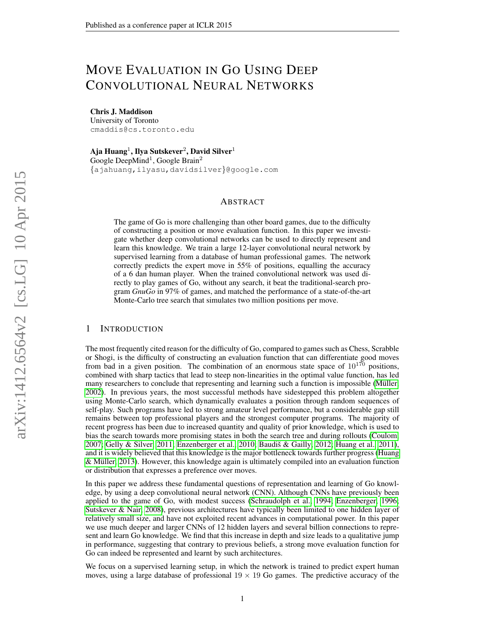# MOVE EVALUATION IN GO USING DEEP CONVOLUTIONAL NEURAL NETWORKS

Chris J. Maddison University of Toronto cmaddis@cs.toronto.edu

Aja Huang $^1$ , Ilya Sutskever $^2$ , David Silver $^1$ Google DeepMind<sup>1</sup>, Google Brain<sup>2</sup> {ajahuang,ilyasu,davidsilver}@google.com

## ABSTRACT

The game of Go is more challenging than other board games, due to the difficulty of constructing a position or move evaluation function. In this paper we investigate whether deep convolutional networks can be used to directly represent and learn this knowledge. We train a large 12-layer convolutional neural network by supervised learning from a database of human professional games. The network correctly predicts the expert move in 55% of positions, equalling the accuracy of a 6 dan human player. When the trained convolutional network was used directly to play games of Go, without any search, it beat the traditional-search program *GnuGo* in 97% of games, and matched the performance of a state-of-the-art Monte-Carlo tree search that simulates two million positions per move.

## 1 INTRODUCTION

The most frequently cited reason for the difficulty of Go, compared to games such as Chess, Scrabble or Shogi, is the difficulty of constructing an evaluation function that can differentiate good moves from bad in a given position. The combination of an enormous state space of  $10^{170}$  positions, combined with sharp tactics that lead to steep non-linearities in the optimal value function, has led many researchers to conclude that representing and learning such a function is impossible (Müller, [2002\)](#page-7-0). In previous years, the most successful methods have sidestepped this problem altogether using Monte-Carlo search, which dynamically evaluates a position through random sequences of self-play. Such programs have led to strong amateur level performance, but a considerable gap still remains between top professional players and the strongest computer programs. The majority of recent progress has been due to increased quantity and quality of prior knowledge, which is used to bias the search towards more promising states in both the search tree and during rollouts [\(Coulom,](#page-7-1) [2007;](#page-7-1) [Gelly & Silver, 2011;](#page-7-2) [Enzenberger et al., 2010;](#page-7-3) Baudiš & Gailly, 2012; [Huang et al., 2011\)](#page-7-5), and it is widely believed that this knowledge is the major bottleneck towards further progress [\(Huang](#page-7-6) & Müller, 2013). However, this knowledge again is ultimately compiled into an evaluation function or distribution that expresses a preference over moves.

In this paper we address these fundamental questions of representation and learning of Go knowledge, by using a deep convolutional neural network (CNN). Although CNNs have previously been applied to the game of Go, with modest success [\(Schraudolph et al., 1994;](#page-7-7) [Enzenberger, 1996;](#page-7-8) [Sutskever & Nair, 2008\)](#page-7-9), previous architectures have typically been limited to one hidden layer of relatively small size, and have not exploited recent advances in computational power. In this paper we use much deeper and larger CNNs of 12 hidden layers and several billion connections to represent and learn Go knowledge. We find that this increase in depth and size leads to a qualitative jump in performance, suggesting that contrary to previous beliefs, a strong move evaluation function for Go can indeed be represented and learnt by such architectures.

We focus on a supervised learning setup, in which the network is trained to predict expert human moves, using a large database of professional  $19 \times 19$  Go games. The predictive accuracy of the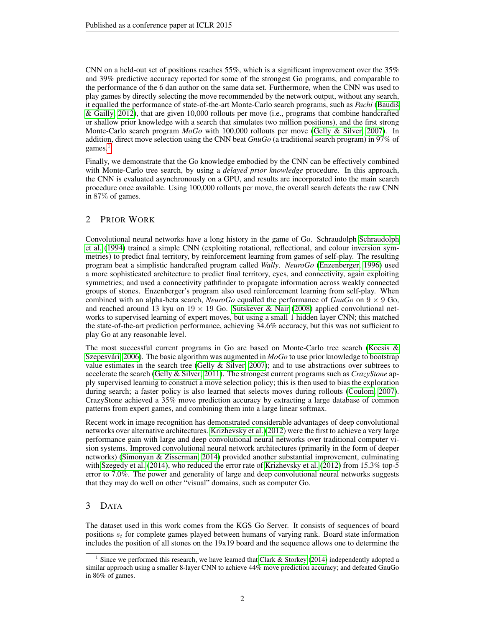CNN on a held-out set of positions reaches 55%, which is a significant improvement over the 35% and 39% predictive accuracy reported for some of the strongest Go programs, and comparable to the performance of the 6 dan author on the same data set. Furthermore, when the CNN was used to play games by directly selecting the move recommended by the network output, without any search, it equalled the performance of state-of-the-art Monte-Carlo search programs, such as *Pachi* (Baudiš [& Gailly, 2012\)](#page-7-4), that are given 10,000 rollouts per move (i.e., programs that combine handcrafted or shallow prior knowledge with a search that simulates two million positions), and the first strong Monte-Carlo search program *MoGo* with 100,000 rollouts per move [\(Gelly & Silver, 2007\)](#page-7-10). In addition, direct move selection using the CNN beat *GnuGo* (a traditional search program) in 97% of games. $<sup>1</sup>$  $<sup>1</sup>$  $<sup>1</sup>$ </sup>

Finally, we demonstrate that the Go knowledge embodied by the CNN can be effectively combined with Monte-Carlo tree search, by using a *delayed prior knowledge* procedure. In this approach, the CNN is evaluated asynchronously on a GPU, and results are incorporated into the main search procedure once available. Using 100,000 rollouts per move, the overall search defeats the raw CNN in 87% of games.

# 2 PRIOR WORK

Convolutional neural networks have a long history in the game of Go. Schraudolph [Schraudolph](#page-7-7) [et al.](#page-7-7) [\(1994\)](#page-7-7) trained a simple CNN (exploiting rotational, reflectional, and colour inversion symmetries) to predict final territory, by reinforcement learning from games of self-play. The resulting program beat a simplistic handcrafted program called *Wally*. *NeuroGo* [\(Enzenberger, 1996\)](#page-7-8) used a more sophisticated architecture to predict final territory, eyes, and connectivity, again exploiting symmetries; and used a connectivity pathfinder to propagate information across weakly connected groups of stones. Enzenberger's program also used reinforcement learning from self-play. When combined with an alpha-beta search, *NeuroGo* equalled the performance of  $GnuGo$  on  $9 \times 9$  Go, and reached around 13 kyu on  $19 \times 19$  Go. [Sutskever & Nair](#page-7-9) [\(2008\)](#page-7-9) applied convolutional networks to supervised learning of expert moves, but using a small 1 hidden layer CNN; this matched the state-of-the-art prediction performance, achieving 34.6% accuracy, but this was not sufficient to play Go at any reasonable level.

The most successful current programs in Go are based on Monte-Carlo tree search [\(Kocsis &](#page-7-11) Szepesvári, 2006). The basic algorithm was augmented in  $MoGo$  to use prior knowledge to bootstrap value estimates in the search tree (Gelly  $\&$  Silver, 2007); and to use abstractions over subtrees to accelerate the search [\(Gelly & Silver, 2011\)](#page-7-2). The strongest current programs such as *CrazyStone* apply supervised learning to construct a move selection policy; this is then used to bias the exploration during search; a faster policy is also learned that selects moves during rollouts [\(Coulom, 2007\)](#page-7-1). CrazyStone achieved a 35% move prediction accuracy by extracting a large database of common patterns from expert games, and combining them into a large linear softmax.

Recent work in image recognition has demonstrated considerable advantages of deep convolutional networks over alternative architectures. [Krizhevsky et al.](#page-7-12) [\(2012\)](#page-7-12) were the first to achieve a very large performance gain with large and deep convolutional neural networks over traditional computer vision systems. Improved convolutional neural network architectures (primarily in the form of deeper networks) [\(Simonyan & Zisserman, 2014\)](#page-7-13) provided another substantial improvement, culminating with [Szegedy et al.](#page-7-14) [\(2014\)](#page-7-14), who reduced the error rate of [Krizhevsky et al.](#page-7-12) [\(2012\)](#page-7-12) from 15.3% top-5 error to 7.0%. The power and generality of large and deep convolutional neural networks suggests that they may do well on other "visual" domains, such as computer Go.

# 3 DATA

The dataset used in this work comes from the KGS Go Server. It consists of sequences of board positions  $s_t$  for complete games played between humans of varying rank. Board state information includes the position of all stones on the 19x19 board and the sequence allows one to determine the

<span id="page-1-0"></span><sup>&</sup>lt;sup>1</sup> Since we performed this research, we have learned that [Clark & Storkey](#page-7-15) [\(2014\)](#page-7-15) independently adopted a similar approach using a smaller 8-layer CNN to achieve 44% move prediction accuracy; and defeated GnuGo in 86% of games.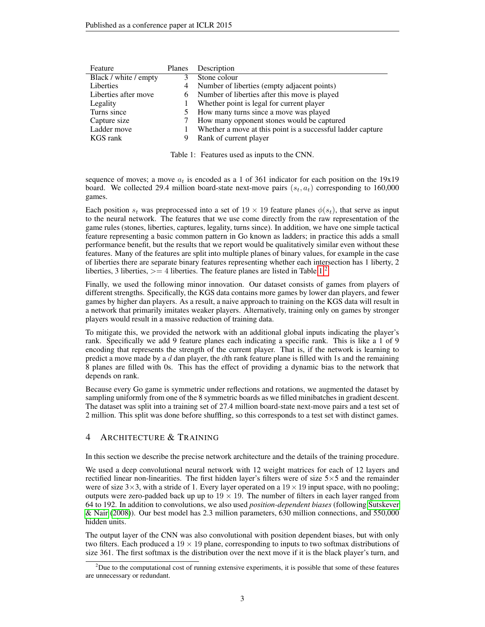| Feature               | Planes | Description                                                 |
|-----------------------|--------|-------------------------------------------------------------|
| Black / white / empty | 3      | Stone colour                                                |
| Liberties             | 4      | Number of liberties (empty adjacent points)                 |
| Liberties after move  | 6      | Number of liberties after this move is played               |
| Legality              |        | Whether point is legal for current player                   |
| Turns since           |        | How many turns since a move was played                      |
| Capture size          |        | How many opponent stones would be captured                  |
| Ladder move           |        | Whether a move at this point is a successful ladder capture |
| KGS rank              | 9      | Rank of current player                                      |
|                       |        |                                                             |

<span id="page-2-0"></span>Table 1: Features used as inputs to the CNN.

sequence of moves; a move  $a_t$  is encoded as a 1 of 361 indicator for each position on the 19x19 board. We collected 29.4 million board-state next-move pairs  $(s_t, a_t)$  corresponding to 160,000 games.

Each position  $s_t$  was preprocessed into a set of  $19 \times 19$  feature planes  $\phi(s_t)$ , that serve as input to the neural network. The features that we use come directly from the raw representation of the game rules (stones, liberties, captures, legality, turns since). In addition, we have one simple tactical feature representing a basic common pattern in Go known as ladders; in practice this adds a small performance benefit, but the results that we report would be qualitatively similar even without these features. Many of the features are split into multiple planes of binary values, for example in the case of liberties there are separate binary features representing whether each intersection has 1 liberty, 2 liberties, 3 liberties,  $> = 4$  liberties. The feature planes are listed in Table [1.](#page-2-0)<sup>[2](#page-2-1)</sup>

Finally, we used the following minor innovation. Our dataset consists of games from players of different strengths. Specifically, the KGS data contains more games by lower dan players, and fewer games by higher dan players. As a result, a naive approach to training on the KGS data will result in a network that primarily imitates weaker players. Alternatively, training only on games by stronger players would result in a massive reduction of training data.

To mitigate this, we provided the network with an additional global inputs indicating the player's rank. Specifically we add 9 feature planes each indicating a specific rank. This is like a 1 of 9 encoding that represents the strength of the current player. That is, if the network is learning to predict a move made by a  $d$  dan player, the  $d$ th rank feature plane is filled with 1s and the remaining 8 planes are filled with 0s. This has the effect of providing a dynamic bias to the network that depends on rank.

Because every Go game is symmetric under reflections and rotations, we augmented the dataset by sampling uniformly from one of the 8 symmetric boards as we filled minibatches in gradient descent. The dataset was split into a training set of 27.4 million board-state next-move pairs and a test set of 2 million. This split was done before shuffling, so this corresponds to a test set with distinct games.

# 4 ARCHITECTURE & TRAINING

In this section we describe the precise network architecture and the details of the training procedure.

We used a deep convolutional neural network with 12 weight matrices for each of 12 layers and rectified linear non-linearities. The first hidden layer's filters were of size  $5\times 5$  and the remainder were of size  $3\times3$ , with a stride of 1. Every layer operated on a  $19\times19$  input space, with no pooling; outputs were zero-padded back up up to  $19 \times 19$ . The number of filters in each layer ranged from 64 to 192. In addition to convolutions, we also used *position-dependent biases* (following [Sutskever](#page-7-9) [& Nair](#page-7-9) [\(2008\)](#page-7-9)). Our best model has 2.3 million parameters, 630 million connections, and 550,000 hidden units.

The output layer of the CNN was also convolutional with position dependent biases, but with only two filters. Each produced a  $19 \times 19$  plane, corresponding to inputs to two softmax distributions of size 361. The first softmax is the distribution over the next move if it is the black player's turn, and

<span id="page-2-1"></span><sup>&</sup>lt;sup>2</sup>Due to the computational cost of running extensive experiments, it is possible that some of these features are unnecessary or redundant.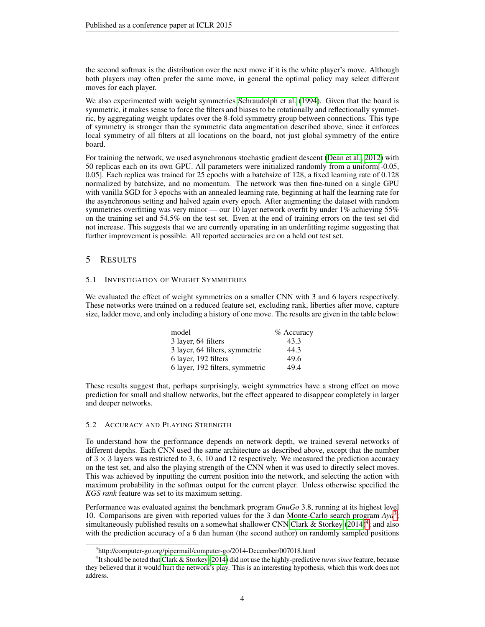the second softmax is the distribution over the next move if it is the white player's move. Although both players may often prefer the same move, in general the optimal policy may select different moves for each player.

We also experimented with weight symmetries [Schraudolph et al.](#page-7-7) [\(1994\)](#page-7-7). Given that the board is symmetric, it makes sense to force the filters and biases to be rotationally and reflectionally symmetric, by aggregating weight updates over the 8-fold symmetry group between connections. This type of symmetry is stronger than the symmetric data augmentation described above, since it enforces local symmetry of all filters at all locations on the board, not just global symmetry of the entire board.

For training the network, we used asynchronous stochastic gradient descent [\(Dean et al., 2012\)](#page-7-16) with 50 replicas each on its own GPU. All parameters were initialized randomly from a uniform[-0.05, 0.05]. Each replica was trained for 25 epochs with a batchsize of 128, a fixed learning rate of 0.128 normalized by batchsize, and no momentum. The network was then fine-tuned on a single GPU with vanilla SGD for 3 epochs with an annealed learning rate, beginning at half the learning rate for the asynchronous setting and halved again every epoch. After augmenting the dataset with random symmetries overfitting was very minor — our 10 layer network overfit by under  $1\%$  achieving 55% on the training set and 54.5% on the test set. Even at the end of training errors on the test set did not increase. This suggests that we are currently operating in an underfitting regime suggesting that further improvement is possible. All reported accuracies are on a held out test set.

## 5 RESULTS

#### 5.1 INVESTIGATION OF WEIGHT SYMMETRIES

We evaluated the effect of weight symmetries on a smaller CNN with 3 and 6 layers respectively. These networks were trained on a reduced feature set, excluding rank, liberties after move, capture size, ladder move, and only including a history of one move. The results are given in the table below:

| model                           | % Accuracy |
|---------------------------------|------------|
| 3 layer, 64 filters             | 43.3       |
| 3 layer, 64 filters, symmetric  | 44.3       |
| 6 layer, 192 filters            | 49.6       |
| 6 layer, 192 filters, symmetric | 49.4       |

These results suggest that, perhaps surprisingly, weight symmetries have a strong effect on move prediction for small and shallow networks, but the effect appeared to disappear completely in larger and deeper networks.

#### 5.2 ACCURACY AND PLAYING STRENGTH

To understand how the performance depends on network depth, we trained several networks of different depths. Each CNN used the same architecture as described above, except that the number of  $3 \times 3$  layers was restricted to 3, 6, 10 and 12 respectively. We measured the prediction accuracy on the test set, and also the playing strength of the CNN when it was used to directly select moves. This was achieved by inputting the current position into the network, and selecting the action with maximum probability in the softmax output for the current player. Unless otherwise specified the *KGS rank* feature was set to its maximum setting.

Performance was evaluated against the benchmark program *GnuGo* 3.8, running at its highest level 10. Comparisons are given with reported values for the 3 dan Monte-Carlo search program *Aya*[3](#page-3-0) ; simultaneously published results on a somewhat shallower CNN [Clark & Storkey](#page-7-15)  $(2014)^4$  $(2014)^4$  $(2014)^4$ ; and also with the prediction accuracy of a 6 dan human (the second author) on randomly sampled positions

<span id="page-3-1"></span><span id="page-3-0"></span><sup>3</sup> http://computer-go.org/pipermail/computer-go/2014-December/007018.html

<sup>4</sup> It should be noted that [Clark & Storkey](#page-7-15) [\(2014\)](#page-7-15) did not use the highly-predictive *turns since* feature, because they believed that it would hurt the network's play. This is an interesting hypothesis, which this work does not address.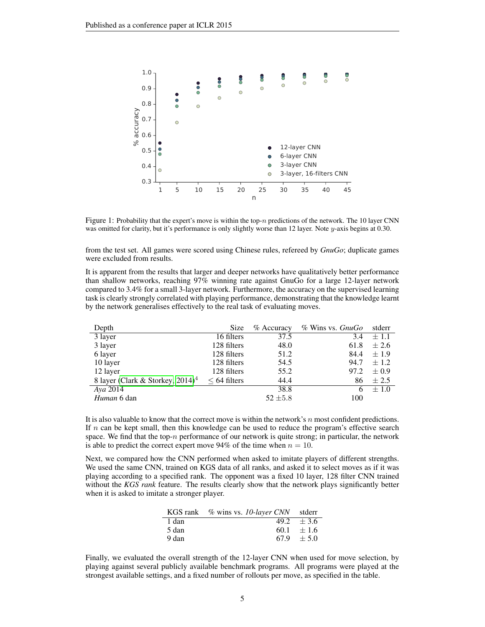

Figure 1: Probability that the expert's move is within the top-n predictions of the network. The 10 layer CNN was omitted for clarity, but it's performance is only slightly worse than 12 layer. Note y-axis begins at 0.30.

from the test set. All games were scored using Chinese rules, refereed by *GnuGo*; duplicate games were excluded from results.

It is apparent from the results that larger and deeper networks have qualitatively better performance than shallow networks, reaching 97% winning rate against GnuGo for a large 12-layer network compared to 3.4% for a small 3-layer network. Furthermore, the accuracy on the supervised learning task is clearly strongly correlated with playing performance, demonstrating that the knowledge learnt by the network generalises effectively to the real task of evaluating moves.

| Depth                                           | Size              | $%$ Accuracy | $%$ Wins vs. $GnuGo$ | stderr    |
|-------------------------------------------------|-------------------|--------------|----------------------|-----------|
| 3 layer                                         | 16 filters        | 37.5         | 3.4                  | $\pm 1.1$ |
| 3 layer                                         | 128 filters       | 48.0         | 61.8                 | $\pm 2.6$ |
| 6 layer                                         | 128 filters       | 51.2         | 84.4                 | $\pm 1.9$ |
| 10 layer                                        | 128 filters       | 54.5         | 94.7                 | $\pm 1.2$ |
| 12 layer                                        | 128 filters       | 55.2         | 97.2                 | $\pm 0.9$ |
| 8 layer (Clark & Storkey, $2014$ ) <sup>4</sup> | $\leq 64$ filters | 44.4         | 86                   | $\pm 2.5$ |
| Aya 2014                                        |                   | 38.8         | 6                    | $\pm 1.0$ |
| Human 6 dan                                     |                   | $52 \pm 5.8$ | 100                  |           |

It is also valuable to know that the correct move is within the network's  $n$  most confident predictions. If  $n$  can be kept small, then this knowledge can be used to reduce the program's effective search space. We find that the top-n performance of our network is quite strong; in particular, the network is able to predict the correct expert move 94% of the time when  $n = 10$ .

Next, we compared how the CNN performed when asked to imitate players of different strengths. We used the same CNN, trained on KGS data of all ranks, and asked it to select moves as if it was playing according to a specified rank. The opponent was a fixed 10 layer, 128 filter CNN trained without the *KGS rank* feature. The results clearly show that the network plays significantly better when it is asked to imitate a stronger player.

|       | KGS rank % wins vs. 10-layer CNN stderr |                |
|-------|-----------------------------------------|----------------|
| 1 dan |                                         | $49.2 \pm 3.6$ |
| 5 dan |                                         | $60.1 + 1.6$   |
| 9 dan |                                         | $67.9 \pm 5.0$ |

Finally, we evaluated the overall strength of the 12-layer CNN when used for move selection, by playing against several publicly available benchmark programs. All programs were played at the strongest available settings, and a fixed number of rollouts per move, as specified in the table.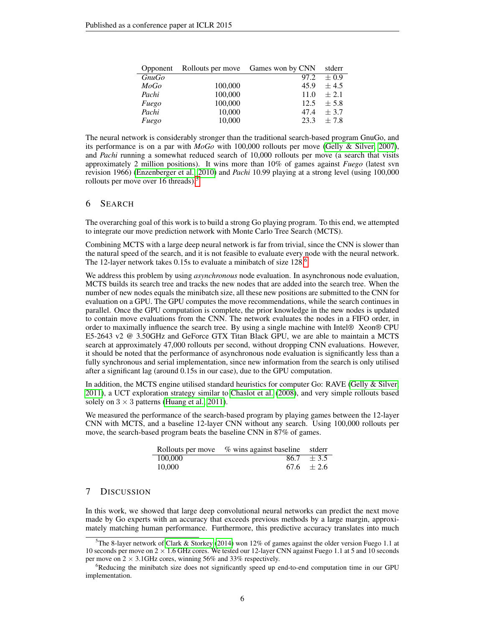| Opponent     |         | Rollouts per move Games won by CNN | stderr    |
|--------------|---------|------------------------------------|-----------|
| <i>GnuGo</i> |         | 97.2                               | $+0.9$    |
| MoGo         | 100,000 | 45.9                               | $\pm$ 4.5 |
| Pachi        | 100,000 | 11.0                               | $\pm 2.1$ |
| Fuego        | 100,000 | 12.5                               | $\pm$ 5.8 |
| Pachi        | 10,000  | 47.4                               | $\pm$ 3.7 |
| Fuego        | 10,000  | 23.3                               | $+7.8$    |

The neural network is considerably stronger than the traditional search-based program GnuGo, and its performance is on a par with *MoGo* with 100,000 rollouts per move [\(Gelly & Silver, 2007\)](#page-7-10), and *Pachi* running a somewhat reduced search of 10,000 rollouts per move (a search that visits approximately 2 million positions). It wins more than 10% of games against *Fuego* (latest svn revision 1966) [\(Enzenberger et al., 2010\)](#page-7-3) and *Pachi* 10.99 playing at a strong level (using 100,000 rollouts per move over 16 threads). $<sup>5</sup>$  $<sup>5</sup>$  $<sup>5</sup>$ </sup>

## 6 SEARCH

The overarching goal of this work is to build a strong Go playing program. To this end, we attempted to integrate our move prediction network with Monte Carlo Tree Search (MCTS).

Combining MCTS with a large deep neural network is far from trivial, since the CNN is slower than the natural speed of the search, and it is not feasible to evaluate every node with the neural network. The 12-layer network takes 0.15s to evaluate a minibatch of size 128.<sup>[6](#page-5-1)</sup>

We address this problem by using *asynchronous* node evaluation. In asynchronous node evaluation, MCTS builds its search tree and tracks the new nodes that are added into the search tree. When the number of new nodes equals the minibatch size, all these new positions are submitted to the CNN for evaluation on a GPU. The GPU computes the move recommendations, while the search continues in parallel. Once the GPU computation is complete, the prior knowledge in the new nodes is updated to contain move evaluations from the CNN. The network evaluates the nodes in a FIFO order, in order to maximally influence the search tree. By using a single machine with Intel® Xeon® CPU E5-2643 v2 @ 3.50GHz and GeForce GTX Titan Black GPU, we are able to maintain a MCTS search at approximately 47,000 rollouts per second, without dropping CNN evaluations. However, it should be noted that the performance of asynchronous node evaluation is significantly less than a fully synchronous and serial implementation, since new information from the search is only utilised after a significant lag (around 0.15s in our case), due to the GPU computation.

In addition, the MCTS engine utilised standard heuristics for computer Go: RAVE [\(Gelly & Silver,](#page-7-2) [2011\)](#page-7-2), a UCT exploration strategy similar to [Chaslot et al.](#page-7-17) [\(2008\)](#page-7-17), and very simple rollouts based solely on  $3 \times 3$  patterns [\(Huang et al., 2011\)](#page-7-5).

We measured the performance of the search-based program by playing games between the 12-layer CNN with MCTS, and a baseline 12-layer CNN without any search. Using 100,000 rollouts per move, the search-based program beats the baseline CNN in 87% of games.

|         | Rollouts per move % wins against baseline stder |                |
|---------|-------------------------------------------------|----------------|
| 100,000 |                                                 | $86.7 \pm 3.5$ |
| 10.000  |                                                 | $67.6 \pm 2.6$ |

# 7 DISCUSSION

In this work, we showed that large deep convolutional neural networks can predict the next move made by Go experts with an accuracy that exceeds previous methods by a large margin, approximately matching human performance. Furthermore, this predictive accuracy translates into much

<span id="page-5-0"></span><sup>&</sup>lt;sup>5</sup>The 8-layer network of [Clark & Storkey](#page-7-15) [\(2014\)](#page-7-15) won 12% of games against the older version Fuego 1.1 at 10 seconds per move on  $2 \times 1.6$  GHz cores. We tested our 12-layer CNN against Fuego 1.1 at 5 and 10 seconds per move on  $2 \times 3.1$ GHz cores, winning 56% and 33% respectively.

<span id="page-5-1"></span><sup>&</sup>lt;sup>6</sup>Reducing the minibatch size does not significantly speed up end-to-end computation time in our GPU implementation.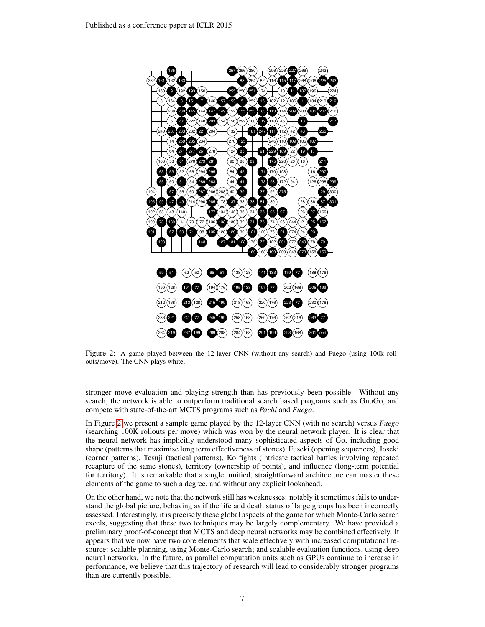

<span id="page-6-0"></span>outs/move). The CNN plays white. Figure 2: A game played between the 12-layer CNN (without any search) and Fuego (using 100k roll-<br> $\frac{1}{2}$ 

search, the network is able to outperform traditional search based programs such as GnuGo, and stronger move evaluation and playing strength than has previously been possible. Without any compete with state-of-the-art MCTS programs such as *Pachi* and *Fuego*.

In Figure [2](#page-6-0) we present a sample game played by the 12-layer CNN (with no search) versus *Fuego* (searching 100K rollouts per move) which was won by the neural network player. It is clear that the neural network has implicitly understood many sophisticated aspects of Go, including good shape (patterns that maximise long term effectiveness of stones), Fuseki (opening sequences), Joseki (corner patterns), Tesuji (tactical patterns), Ko fights (intricate tactical battles involving repeated recapture of the same stones), territory (ownership of points), and influence (long-term potential for territory). It is remarkable that a single, unified, straightforward architecture can master these elements of the game to such a degree, and without any explicit lookahead.

On the other hand, we note that the network still has weaknesses: notably it sometimes fails to understand the global picture, behaving as if the life and death status of large groups has been incorrectly assessed. Interestingly, it is precisely these global aspects of the game for which Monte-Carlo search excels, suggesting that these two techniques may be largely complementary. We have provided a preliminary proof-of-concept that MCTS and deep neural networks may be combined effectively. It appears that we now have two core elements that scale effectively with increased computational resource: scalable planning, using Monte-Carlo search; and scalable evaluation functions, using deep neural networks. In the future, as parallel computation units such as GPUs continue to increase in performance, we believe that this trajectory of research will lead to considerably stronger programs than are currently possible.